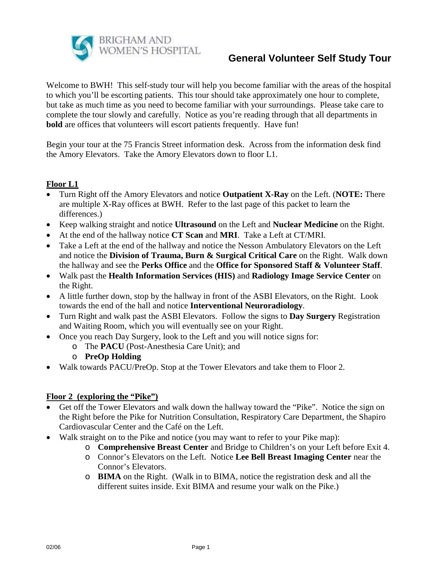

Welcome to BWH! This self-study tour will help you become familiar with the areas of the hospital to which you'll be escorting patients. This tour should take approximately one hour to complete, but take as much time as you need to become familiar with your surroundings. Please take care to complete the tour slowly and carefully. Notice as you're reading through that all departments in **bold** are offices that volunteers will escort patients frequently. Have fun!

Begin your tour at the 75 Francis Street information desk. Across from the information desk find the Amory Elevators. Take the Amory Elevators down to floor L1.

### **Floor L1**

- Turn Right off the Amory Elevators and notice **Outpatient X-Ray** on the Left. (**NOTE:** There are multiple X-Ray offices at BWH. Refer to the last page of this packet to learn the differences.)
- Keep walking straight and notice **Ultrasound** on the Left and **Nuclear Medicine** on the Right.
- At the end of the hallway notice **CT Scan** and **MRI**. Take a Left at CT/MRI.
- Take a Left at the end of the hallway and notice the Nesson Ambulatory Elevators on the Left and notice the **Division of Trauma, Burn & Surgical Critical Care** on the Right. Walk down the hallway and see the **Perks Office** and the **Office for Sponsored Staff & Volunteer Staff**.
- Walk past the **Health Information Services (HIS)** and **Radiology Image Service Center** on the Right.
- A little further down, stop by the hallway in front of the ASBI Elevators, on the Right. Look towards the end of the hall and notice **Interventional Neuroradiology**.
- Turn Right and walk past the ASBI Elevators. Follow the signs to **Day Surgery** Registration and Waiting Room, which you will eventually see on your Right.
- Once you reach Day Surgery, look to the Left and you will notice signs for:
	- o The **PACU** (Post-Anesthesia Care Unit); and
	- o **PreOp Holding**
- Walk towards PACU/PreOp. Stop at the Tower Elevators and take them to Floor 2.

#### **Floor 2 (exploring the "Pike")**

- Get off the Tower Elevators and walk down the hallway toward the "Pike". Notice the sign on the Right before the Pike for Nutrition Consultation, Respiratory Care Department, the Shapiro Cardiovascular Center and the Café on the Left.
- Walk straight on to the Pike and notice (you may want to refer to your Pike map):
	- o **Comprehensive Breast Center** and Bridge to Children's on your Left before Exit 4.
	- o Connor's Elevators on the Left. Notice **Lee Bell Breast Imaging Center** near the Connor's Elevators.
	- o **BIMA** on the Right. (Walk in to BIMA, notice the registration desk and all the different suites inside. Exit BIMA and resume your walk on the Pike.)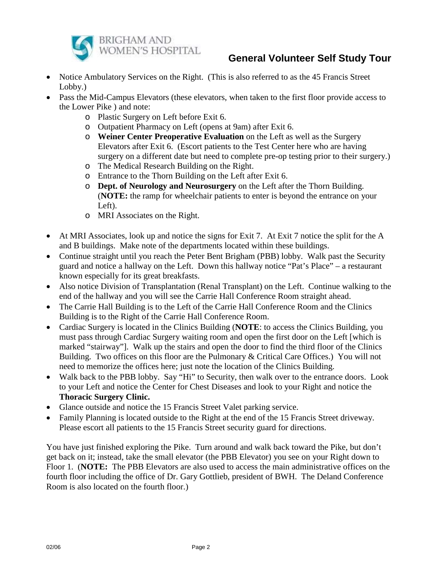

- Notice Ambulatory Services on the Right. (This is also referred to as the 45 Francis Street Lobby.)
- Pass the Mid-Campus Elevators (these elevators, when taken to the first floor provide access to the Lower Pike ) and note:
	- o Plastic Surgery on Left before Exit 6.
	- o Outpatient Pharmacy on Left (opens at 9am) after Exit 6.
	- o **Weiner Center Preoperative Evaluation** on the Left as well as the Surgery Elevators after Exit 6. (Escort patients to the Test Center here who are having surgery on a different date but need to complete pre-op testing prior to their surgery.)
	- o The Medical Research Building on the Right.
	- o Entrance to the Thorn Building on the Left after Exit 6.
	- o **Dept. of Neurology and Neurosurgery** on the Left after the Thorn Building. (**NOTE:** the ramp for wheelchair patients to enter is beyond the entrance on your Left).
	- o MRI Associates on the Right.
- At MRI Associates, look up and notice the signs for Exit 7. At Exit 7 notice the split for the A and B buildings. Make note of the departments located within these buildings.
- Continue straight until you reach the Peter Bent Brigham (PBB) lobby. Walk past the Security guard and notice a hallway on the Left. Down this hallway notice "Pat's Place" – a restaurant known especially for its great breakfasts.
- Also notice Division of Transplantation (Renal Transplant) on the Left. Continue walking to the end of the hallway and you will see the Carrie Hall Conference Room straight ahead.
- The Carrie Hall Building is to the Left of the Carrie Hall Conference Room and the Clinics Building is to the Right of the Carrie Hall Conference Room.
- Cardiac Surgery is located in the Clinics Building (**NOTE**: to access the Clinics Building, you must pass through Cardiac Surgery waiting room and open the first door on the Left [which is marked "stairway"]. Walk up the stairs and open the door to find the third floor of the Clinics Building. Two offices on this floor are the Pulmonary & Critical Care Offices.) You will not need to memorize the offices here; just note the location of the Clinics Building.
- Walk back to the PBB lobby. Say "Hi" to Security, then walk over to the entrance doors. Look to your Left and notice the Center for Chest Diseases and look to your Right and notice the **Thoracic Surgery Clinic.**
- Glance outside and notice the 15 Francis Street Valet parking service.
- Family Planning is located outside to the Right at the end of the 15 Francis Street driveway. Please escort all patients to the 15 Francis Street security guard for directions.

You have just finished exploring the Pike. Turn around and walk back toward the Pike, but don't get back on it; instead, take the small elevator (the PBB Elevator) you see on your Right down to Floor 1. (**NOTE:** The PBB Elevators are also used to access the main administrative offices on the fourth floor including the office of Dr. Gary Gottlieb, president of BWH. The Deland Conference Room is also located on the fourth floor.)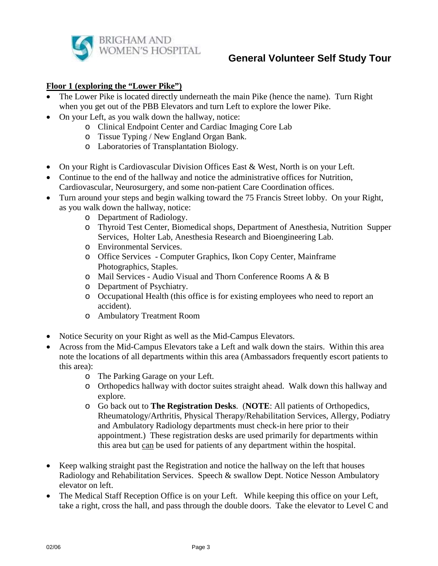

#### **Floor 1 (exploring the "Lower Pike")**

- The Lower Pike is located directly underneath the main Pike (hence the name). Turn Right when you get out of the PBB Elevators and turn Left to explore the lower Pike.
- On your Left, as you walk down the hallway, notice:
	- o Clinical Endpoint Center and Cardiac Imaging Core Lab
	- o Tissue Typing / New England Organ Bank.
	- o Laboratories of Transplantation Biology.
- On your Right is Cardiovascular Division Offices East & West, North is on your Left.
- Continue to the end of the hallway and notice the administrative offices for Nutrition, Cardiovascular, Neurosurgery, and some non-patient Care Coordination offices.
- Turn around your steps and begin walking toward the 75 Francis Street lobby. On your Right, as you walk down the hallway, notice:
	- o Department of Radiology.
	- o Thyroid Test Center, Biomedical shops, Department of Anesthesia, Nutrition Supper Services, Holter Lab, Anesthesia Research and Bioengineering Lab.
	- o Environmental Services.
	- o Office Services Computer Graphics, Ikon Copy Center, Mainframe Photographics, Staples.
	- o Mail Services Audio Visual and Thorn Conference Rooms A & B
	- o Department of Psychiatry.
	- o Occupational Health (this office is for existing employees who need to report an accident).
	- o Ambulatory Treatment Room
- Notice Security on your Right as well as the Mid-Campus Elevators.
- Across from the Mid-Campus Elevators take a Left and walk down the stairs. Within this area note the locations of all departments within this area (Ambassadors frequently escort patients to this area):
	- o The Parking Garage on your Left.
	- o Orthopedics hallway with doctor suites straight ahead. Walk down this hallway and explore.
	- o Go back out to **The Registration Desks**. (**NOTE**: All patients of Orthopedics, Rheumatology/Arthritis, Physical Therapy/Rehabilitation Services, Allergy, Podiatry and Ambulatory Radiology departments must check-in here prior to their appointment.) These registration desks are used primarily for departments within this area but can be used for patients of any department within the hospital.
- Keep walking straight past the Registration and notice the hallway on the left that houses Radiology and Rehabilitation Services. Speech & swallow Dept. Notice Nesson Ambulatory elevator on left.
- The Medical Staff Reception Office is on your Left. While keeping this office on your Left, take a right, cross the hall, and pass through the double doors. Take the elevator to Level C and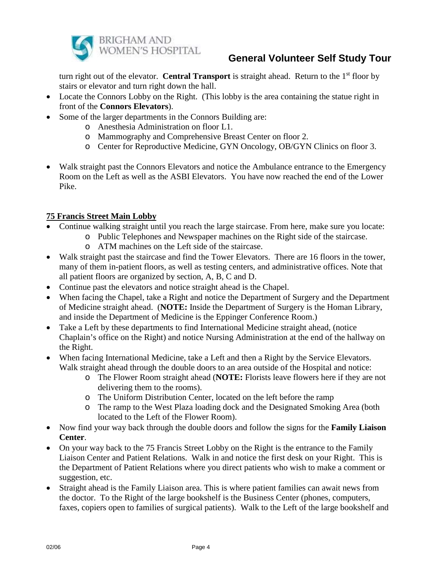

turn right out of the elevator. **Central Transport** is straight ahead. Return to the 1<sup>st</sup> floor by stairs or elevator and turn right down the hall.

- Locate the Connors Lobby on the Right. (This lobby is the area containing the statue right in front of the **Connors Elevators**).
- Some of the larger departments in the Connors Building are:
	- o Anesthesia Administration on floor L1.
	- o Mammography and Comprehensive Breast Center on floor 2.
	- o Center for Reproductive Medicine, GYN Oncology, OB/GYN Clinics on floor 3.
- Walk straight past the Connors Elevators and notice the Ambulance entrance to the Emergency Room on the Left as well as the ASBI Elevators. You have now reached the end of the Lower Pike.

### **75 Francis Street Main Lobby**

- Continue walking straight until you reach the large staircase. From here, make sure you locate:
	- o Public Telephones and Newspaper machines on the Right side of the staircase.
	- o ATM machines on the Left side of the staircase.
- Walk straight past the staircase and find the Tower Elevators. There are 16 floors in the tower, many of them in-patient floors, as well as testing centers, and administrative offices. Note that all patient floors are organized by section, A, B, C and D.
- Continue past the elevators and notice straight ahead is the Chapel.
- When facing the Chapel, take a Right and notice the Department of Surgery and the Department of Medicine straight ahead. (**NOTE:** Inside the Department of Surgery is the Homan Library, and inside the Department of Medicine is the Eppinger Conference Room.)
- Take a Left by these departments to find International Medicine straight ahead, (notice Chaplain's office on the Right) and notice Nursing Administration at the end of the hallway on the Right.
- When facing International Medicine, take a Left and then a Right by the Service Elevators. Walk straight ahead through the double doors to an area outside of the Hospital and notice:
	- o The Flower Room straight ahead (**NOTE:** Florists leave flowers here if they are not delivering them to the rooms).
	- o The Uniform Distribution Center, located on the left before the ramp
	- o The ramp to the West Plaza loading dock and the Designated Smoking Area (both located to the Left of the Flower Room).
- Now find your way back through the double doors and follow the signs for the **Family Liaison Center**.
- On your way back to the 75 Francis Street Lobby on the Right is the entrance to the Family Liaison Center and Patient Relations. Walk in and notice the first desk on your Right. This is the Department of Patient Relations where you direct patients who wish to make a comment or suggestion, etc.
- Straight ahead is the Family Liaison area. This is where patient families can await news from the doctor. To the Right of the large bookshelf is the Business Center (phones, computers, faxes, copiers open to families of surgical patients). Walk to the Left of the large bookshelf and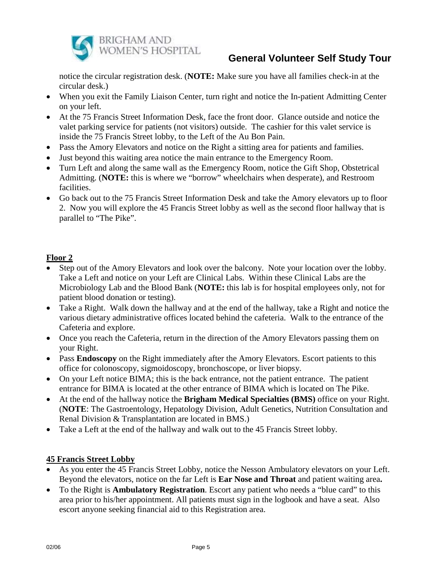

notice the circular registration desk. (**NOTE:** Make sure you have all families check-in at the circular desk.)

- When you exit the Family Liaison Center, turn right and notice the In-patient Admitting Center on your left.
- At the 75 Francis Street Information Desk, face the front door. Glance outside and notice the valet parking service for patients (not visitors) outside. The cashier for this valet service is inside the 75 Francis Street lobby, to the Left of the Au Bon Pain.
- Pass the Amory Elevators and notice on the Right a sitting area for patients and families.
- Just beyond this waiting area notice the main entrance to the Emergency Room.
- Turn Left and along the same wall as the Emergency Room, notice the Gift Shop, Obstetrical Admitting. (**NOTE:** this is where we "borrow" wheelchairs when desperate), and Restroom facilities.
- Go back out to the 75 Francis Street Information Desk and take the Amory elevators up to floor 2. Now you will explore the 45 Francis Street lobby as well as the second floor hallway that is parallel to "The Pike".

## **Floor 2**

- Step out of the Amory Elevators and look over the balcony. Note your location over the lobby. Take a Left and notice on your Left are Clinical Labs. Within these Clinical Labs are the Microbiology Lab and the Blood Bank (**NOTE:** this lab is for hospital employees only, not for patient blood donation or testing).
- Take a Right. Walk down the hallway and at the end of the hallway, take a Right and notice the various dietary administrative offices located behind the cafeteria. Walk to the entrance of the Cafeteria and explore.
- Once you reach the Cafeteria, return in the direction of the Amory Elevators passing them on your Right.
- Pass **Endoscopy** on the Right immediately after the Amory Elevators. Escort patients to this office for colonoscopy, sigmoidoscopy, bronchoscope, or liver biopsy.
- On your Left notice BIMA; this is the back entrance, not the patient entrance. The patient entrance for BIMA is located at the other entrance of BIMA which is located on The Pike.
- At the end of the hallway notice the **Brigham Medical Specialties (BMS)** office on your Right. (**NOTE**: The Gastroentology, Hepatology Division, Adult Genetics, Nutrition Consultation and Renal Division & Transplantation are located in BMS.)
- Take a Left at the end of the hallway and walk out to the 45 Francis Street lobby.

### **45 Francis Street Lobby**

- As you enter the 45 Francis Street Lobby, notice the Nesson Ambulatory elevators on your Left. Beyond the elevators, notice on the far Left is **Ear Nose and Throat** and patient waiting area**.**
- To the Right is **Ambulatory Registration**. Escort any patient who needs a "blue card" to this area prior to his/her appointment. All patients must sign in the logbook and have a seat. Also escort anyone seeking financial aid to this Registration area.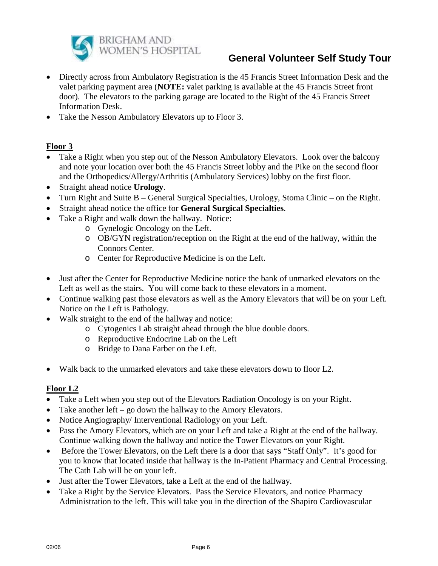

- Directly across from Ambulatory Registration is the 45 Francis Street Information Desk and the valet parking payment area (**NOTE:** valet parking is available at the 45 Francis Street front door). The elevators to the parking garage are located to the Right of the 45 Francis Street Information Desk.
- Take the Nesson Ambulatory Elevators up to Floor 3.

## **Floor 3**

- Take a Right when you step out of the Nesson Ambulatory Elevators. Look over the balcony and note your location over both the 45 Francis Street lobby and the Pike on the second floor and the Orthopedics/Allergy/Arthritis (Ambulatory Services) lobby on the first floor.
- Straight ahead notice **Urology**.
- Turn Right and Suite B General Surgical Specialties, Urology, Stoma Clinic on the Right.
- Straight ahead notice the office for **General Surgical Specialties**.
- Take a Right and walk down the hallway. Notice:
	- o Gynelogic Oncology on the Left.
	- o OB/GYN registration/reception on the Right at the end of the hallway, within the Connors Center.
	- o Center for Reproductive Medicine is on the Left.
- Just after the Center for Reproductive Medicine notice the bank of unmarked elevators on the Left as well as the stairs. You will come back to these elevators in a moment.
- Continue walking past those elevators as well as the Amory Elevators that will be on your Left. Notice on the Left is Pathology.
- Walk straight to the end of the hallway and notice:
	- o Cytogenics Lab straight ahead through the blue double doors.
	- o Reproductive Endocrine Lab on the Left
	- o Bridge to Dana Farber on the Left.
- Walk back to the unmarked elevators and take these elevators down to floor L2.

### **Floor L2**

- Take a Left when you step out of the Elevators Radiation Oncology is on your Right.
- Take another  $left-$  go down the hallway to the Amory Elevators.
- Notice Angiography/ Interventional Radiology on your Left.
- Pass the Amory Elevators, which are on your Left and take a Right at the end of the hallway. Continue walking down the hallway and notice the Tower Elevators on your Right.
- Before the Tower Elevators, on the Left there is a door that says "Staff Only". It's good for you to know that located inside that hallway is the In-Patient Pharmacy and Central Processing. The Cath Lab will be on your left.
- Just after the Tower Elevators, take a Left at the end of the hallway.
- Take a Right by the Service Elevators. Pass the Service Elevators, and notice Pharmacy Administration to the left. This will take you in the direction of the Shapiro Cardiovascular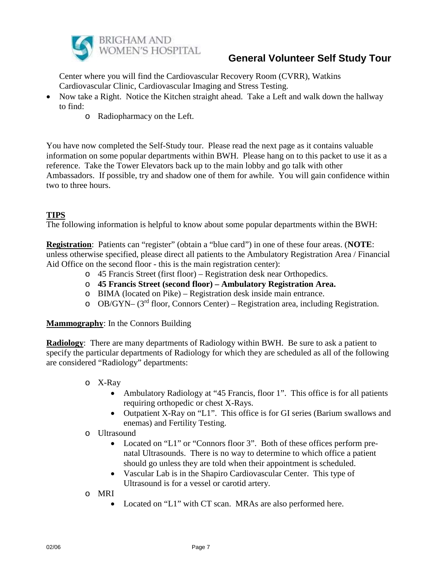

Center where you will find the Cardiovascular Recovery Room (CVRR), Watkins Cardiovascular Clinic, Cardiovascular Imaging and Stress Testing.

- Now take a Right. Notice the Kitchen straight ahead. Take a Left and walk down the hallway to find:
	- o Radiopharmacy on the Left.

You have now completed the Self-Study tour. Please read the next page as it contains valuable information on some popular departments within BWH. Please hang on to this packet to use it as a reference. Take the Tower Elevators back up to the main lobby and go talk with other Ambassadors. If possible, try and shadow one of them for awhile. You will gain confidence within two to three hours.

## **TIPS**

The following information is helpful to know about some popular departments within the BWH:

**Registration**: Patients can "register" (obtain a "blue card") in one of these four areas. (**NOTE**: unless otherwise specified, please direct all patients to the Ambulatory Registration Area / Financial Aid Office on the second floor - this is the main registration center):

- o 45 Francis Street (first floor) Registration desk near Orthopedics.
- o **45 Francis Street (second floor) – Ambulatory Registration Area.**
- o BIMA (located on Pike) Registration desk inside main entrance.
- o OB/GYN– (3rd floor, Connors Center) Registration area, including Registration.

#### **Mammography**: In the Connors Building

**Radiology**: There are many departments of Radiology within BWH. Be sure to ask a patient to specify the particular departments of Radiology for which they are scheduled as all of the following are considered "Radiology" departments:

- o X-Ray
	- Ambulatory Radiology at "45 Francis, floor 1". This office is for all patients requiring orthopedic or chest X-Rays.
	- Outpatient X-Ray on "L1". This office is for GI series (Barium swallows and enemas) and Fertility Testing.
- o Ultrasound
	- Located on "L1" or "Connors floor 3". Both of these offices perform prenatal Ultrasounds. There is no way to determine to which office a patient should go unless they are told when their appointment is scheduled.
	- Vascular Lab is in the Shapiro Cardiovascular Center. This type of Ultrasound is for a vessel or carotid artery.
- o MRI
	- Located on "L1" with CT scan. MRAs are also performed here.